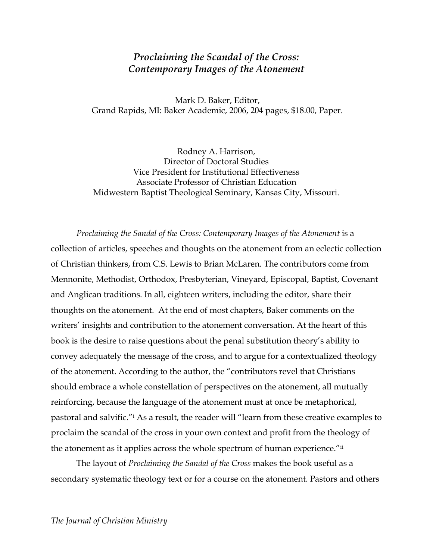## *Proclaiming the Scandal of the Cross: Contemporary Images of the Atonement*

Mark D. Baker, Editor, Grand Rapids, MI: Baker Academic, 2006, 204 pages, \$18.00, Paper.

Rodney A. Harrison, Director of Doctoral Studies Vice President for Institutional Effectiveness Associate Professor of Christian Education Midwestern Baptist Theological Seminary, Kansas City, Missouri.

*Proclaiming the Sandal of the Cross: Contemporary Images of the Atonement* is a collection of articles, speeches and thoughts on the atonement from an eclectic collection of Christian thinkers, from C.S. Lewis to Brian McLaren. The contributors come from Mennonite, Methodist, Orthodox, Presbyterian, Vineyard, Episcopal, Baptist, Covenant and Anglican traditions. In all, eighteen writers, including the editor, share their thoughts on the atonement. At the end of most chapters, Baker comments on the writers' insights and contribution to the atonement conversation. At the heart of this book is the desire to raise questions about the penal substitution theory's ability to convey adequately the message of the cross, and to argue for a contextualized theology of the atonement. According to the author, the "contributors revel that Christians should embrace a whole constellation of perspectives on the atonement, all mutually reinforcing, because the language of the atonement must at once be metaphorical, pastoral and salvific."i As a result, the reader will "learn from these creative examples to proclaim the scandal of the cross in your own context and profit from the theology of the atonement as it applies across the whole spectrum of human experience."ii

The layout of *Proclaiming the Sandal of the Cross* makes the book useful as a secondary systematic theology text or for a course on the atonement. Pastors and others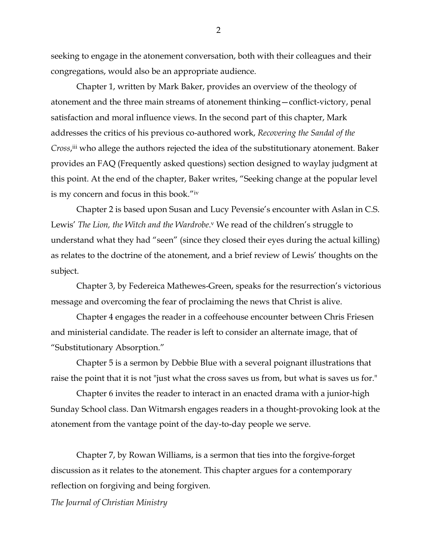seeking to engage in the atonement conversation, both with their colleagues and their congregations, would also be an appropriate audience.

Chapter 1, written by Mark Baker, provides an overview of the theology of atonement and the three main streams of atonement thinking—conflict-victory, penal satisfaction and moral influence views. In the second part of this chapter, Mark addresses the critics of his previous co-authored work, *Recovering the Sandal of the Cross*, iii who allege the authors rejected the idea of the substitutionary atonement. Baker provides an FAQ (Frequently asked questions) section designed to waylay judgment at this point. At the end of the chapter, Baker writes, "Seeking change at the popular level is my concern and focus in this book."iv

Chapter 2 is based upon Susan and Lucy Pevensie's encounter with Aslan in C.S. Lewis' *The Lion, the Witch and the Wardrobe*.<sup>v</sup> We read of the children's struggle to understand what they had "seen" (since they closed their eyes during the actual killing) as relates to the doctrine of the atonement, and a brief review of Lewis' thoughts on the subject.

Chapter 3, by Federeica Mathewes-Green, speaks for the resurrection's victorious message and overcoming the fear of proclaiming the news that Christ is alive.

Chapter 4 engages the reader in a coffeehouse encounter between Chris Friesen and ministerial candidate. The reader is left to consider an alternate image, that of "Substitutionary Absorption."

Chapter 5 is a sermon by Debbie Blue with a several poignant illustrations that raise the point that it is not "just what the cross saves us from, but what is saves us for."

Chapter 6 invites the reader to interact in an enacted drama with a junior-high Sunday School class. Dan Witmarsh engages readers in a thought-provoking look at the atonement from the vantage point of the day-to-day people we serve.

Chapter 7, by Rowan Williams, is a sermon that ties into the forgive-forget discussion as it relates to the atonement. This chapter argues for a contemporary reflection on forgiving and being forgiven.

*The Journal of Christian Ministry*

2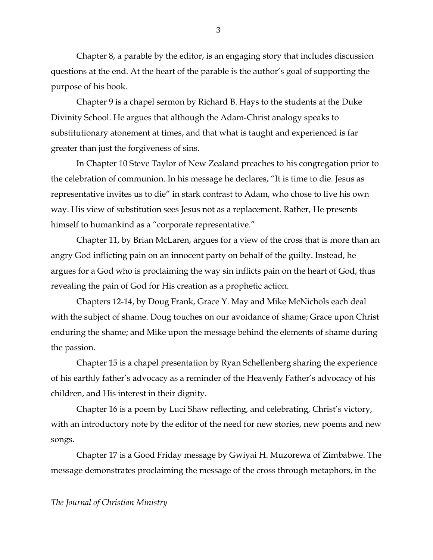Chapter 8, a parable by the editor, is an engaging story that includes discussion questions at the end. At the heart of the parable is the author's goal of supporting the purpose of his book.

Chapter 9 is a chapel sermon by Richard B. Hays to the students at the Duke Divinity School. He argues that although the Adam-Christ analogy speaks to substitutionary atonement at times, and that what is taught and experienced is far greater than just the forgiveness of sins.

In Chapter 10 Steve Taylor of New Zealand preaches to his congregation prior to the celebration of communion. In his message he declares, "It is time to die. Jesus as representative invites us to die" in stark contrast to Adam, who chose to live his own way. His view of substitution sees Jesus not as a replacement. Rather, He presents himself to humankind as a "corporate representative."

Chapter 11, by Brian McLaren, argues for a view of the cross that is more than an angry God inflicting pain on an innocent party on behalf of the guilty. Instead, he argues for a God who is proclaiming the way sin inflicts pain on the heart of God, thus revealing the pain of God for His creation as a prophetic action.

Chapters 12-14, by Doug Frank, Grace Y. May and Mike McNichols each deal with the subject of shame. Doug touches on our avoidance of shame; Grace upon Christ enduring the shame; and Mike upon the message behind the elements of shame during the passion.

Chapter 15 is a chapel presentation by Ryan Schellenberg sharing the experience of his earthly father's advocacy as a reminder of the Heavenly Father's advocacy of his children, and His interest in their dignity.

Chapter 16 is a poem by Luci Shaw reflecting, and celebrating, Christ's victory, with an introductory note by the editor of the need for new stories, new poems and new songs.

Chapter 17 is a Good Friday message by Gwiyai H. Muzorewa of Zimbabwe. The message demonstrates proclaiming the message of the cross through metaphors, in the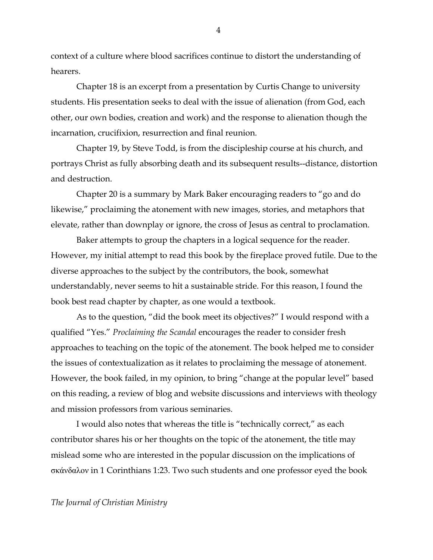context of a culture where blood sacrifices continue to distort the understanding of hearers.

Chapter 18 is an excerpt from a presentation by Curtis Change to university students. His presentation seeks to deal with the issue of alienation (from God, each other, our own bodies, creation and work) and the response to alienation though the incarnation, crucifixion, resurrection and final reunion.

Chapter 19, by Steve Todd, is from the discipleship course at his church, and portrays Christ as fully absorbing death and its subsequent results--distance, distortion and destruction.

Chapter 20 is a summary by Mark Baker encouraging readers to "go and do likewise," proclaiming the atonement with new images, stories, and metaphors that elevate, rather than downplay or ignore, the cross of Jesus as central to proclamation.

Baker attempts to group the chapters in a logical sequence for the reader. However, my initial attempt to read this book by the fireplace proved futile. Due to the diverse approaches to the subject by the contributors, the book, somewhat understandably, never seems to hit a sustainable stride. For this reason, I found the book best read chapter by chapter, as one would a textbook.

As to the question, "did the book meet its objectives?" I would respond with a qualified "Yes." *Proclaiming the Scandal* encourages the reader to consider fresh approaches to teaching on the topic of the atonement. The book helped me to consider the issues of contextualization as it relates to proclaiming the message of atonement. However, the book failed, in my opinion, to bring "change at the popular level" based on this reading, a review of blog and website discussions and interviews with theology and mission professors from various seminaries.

I would also notes that whereas the title is "technically correct," as each contributor shares his or her thoughts on the topic of the atonement, the title may mislead some who are interested in the popular discussion on the implications of σκάνδαλον in 1 Corinthians 1:23. Two such students and one professor eyed the book